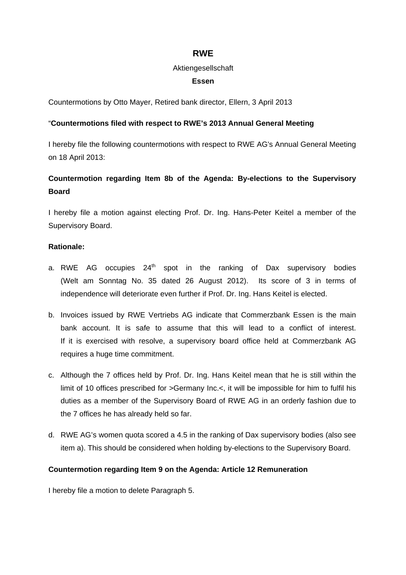# **RWE**

#### Aktiengesellschaft

### **Essen**

Countermotions by Otto Mayer, Retired bank director, Ellern, 3 April 2013

### "**Countermotions filed with respect to RWE's 2013 Annual General Meeting**

I hereby file the following countermotions with respect to RWE AG's Annual General Meeting on 18 April 2013:

# **Countermotion regarding Item 8b of the Agenda: By-elections to the Supervisory Board**

I hereby file a motion against electing Prof. Dr. Ing. Hans-Peter Keitel a member of the Supervisory Board.

### **Rationale:**

- a. RWE AG occupies  $24<sup>th</sup>$  spot in the ranking of Dax supervisory bodies (Welt am Sonntag No. 35 dated 26 August 2012). Its score of 3 in terms of independence will deteriorate even further if Prof. Dr. Ing. Hans Keitel is elected.
- b. Invoices issued by RWE Vertriebs AG indicate that Commerzbank Essen is the main bank account. It is safe to assume that this will lead to a conflict of interest. If it is exercised with resolve, a supervisory board office held at Commerzbank AG requires a huge time commitment.
- c. Although the 7 offices held by Prof. Dr. Ing. Hans Keitel mean that he is still within the limit of 10 offices prescribed for >Germany Inc.<, it will be impossible for him to fulfil his duties as a member of the Supervisory Board of RWE AG in an orderly fashion due to the 7 offices he has already held so far.
- d. RWE AG's women quota scored a 4.5 in the ranking of Dax supervisory bodies (also see item a). This should be considered when holding by-elections to the Supervisory Board.

### **Countermotion regarding Item 9 on the Agenda: Article 12 Remuneration**

I hereby file a motion to delete Paragraph 5.